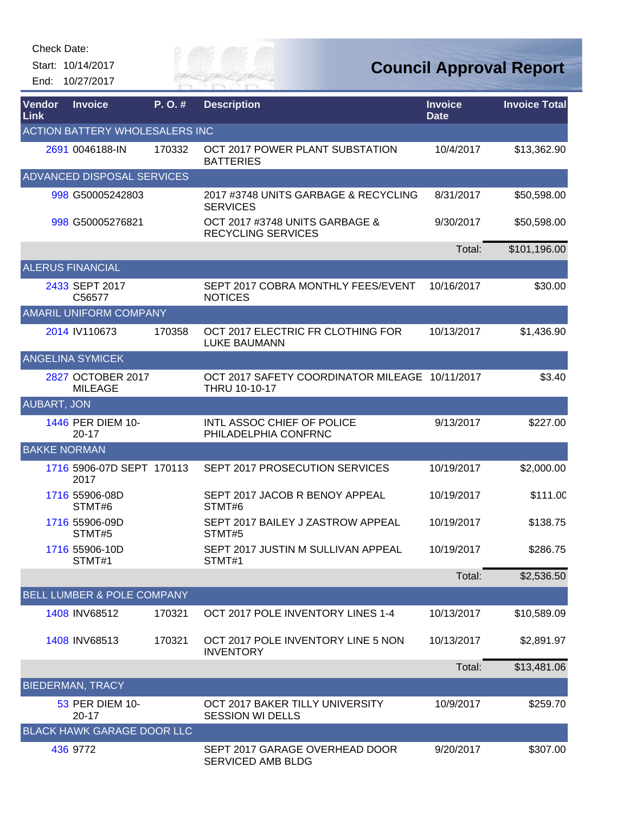Start: 10/14/2017 End: 10/27/2017



| Vendor<br>Link      | <b>Invoice</b>                        | P.O.#  | <b>Description</b>                                              | <b>Invoice</b><br><b>Date</b> | <b>Invoice Total</b> |
|---------------------|---------------------------------------|--------|-----------------------------------------------------------------|-------------------------------|----------------------|
|                     | <b>ACTION BATTERY WHOLESALERS INC</b> |        |                                                                 |                               |                      |
|                     | 2691 0046188-IN                       | 170332 | OCT 2017 POWER PLANT SUBSTATION<br><b>BATTERIES</b>             | 10/4/2017                     | \$13,362.90          |
|                     | ADVANCED DISPOSAL SERVICES            |        |                                                                 |                               |                      |
|                     | 998 G50005242803                      |        | 2017 #3748 UNITS GARBAGE & RECYCLING<br><b>SERVICES</b>         | 8/31/2017                     | \$50,598.00          |
|                     | 998 G50005276821                      |        | OCT 2017 #3748 UNITS GARBAGE &<br><b>RECYCLING SERVICES</b>     | 9/30/2017                     | \$50,598.00          |
|                     |                                       |        |                                                                 | Total:                        | \$101,196.00         |
|                     | <b>ALERUS FINANCIAL</b>               |        |                                                                 |                               |                      |
|                     | 2433 SEPT 2017<br>C56577              |        | SEPT 2017 COBRA MONTHLY FEES/EVENT<br><b>NOTICES</b>            | 10/16/2017                    | \$30.00              |
|                     | <b>AMARIL UNIFORM COMPANY</b>         |        |                                                                 |                               |                      |
|                     | 2014 IV110673                         | 170358 | OCT 2017 ELECTRIC FR CLOTHING FOR<br><b>LUKE BAUMANN</b>        | 10/13/2017                    | \$1,436.90           |
|                     | <b>ANGELINA SYMICEK</b>               |        |                                                                 |                               |                      |
|                     | 2827 OCTOBER 2017<br><b>MILEAGE</b>   |        | OCT 2017 SAFETY COORDINATOR MILEAGE 10/11/2017<br>THRU 10-10-17 |                               | \$3.40               |
| <b>AUBART, JON</b>  |                                       |        |                                                                 |                               |                      |
|                     | 1446 PER DIEM 10-<br>$20 - 17$        |        | INTL ASSOC CHIEF OF POLICE<br>PHILADELPHIA CONFRNC              | 9/13/2017                     | \$227.00             |
| <b>BAKKE NORMAN</b> |                                       |        |                                                                 |                               |                      |
|                     | 1716 5906-07D SEPT 170113<br>2017     |        | SEPT 2017 PROSECUTION SERVICES                                  | 10/19/2017                    | \$2,000.00           |
|                     | 1716 55906-08D<br>STMT#6              |        | SEPT 2017 JACOB R BENOY APPEAL<br>STMT#6                        | 10/19/2017                    | \$111.00             |
|                     | 1716 55906-09D<br>STMT#5              |        | SEPT 2017 BAILEY J ZASTROW APPEAL<br>STMT#5                     | 10/19/2017                    | \$138.75             |
|                     | 1716 55906-10D<br>STMT#1              |        | SEPT 2017 JUSTIN M SULLIVAN APPEAL<br>STMT#1                    | 10/19/2017                    | \$286.75             |
|                     |                                       |        |                                                                 | Total:                        | \$2,536.50           |
|                     | <b>BELL LUMBER &amp; POLE COMPANY</b> |        |                                                                 |                               |                      |
|                     | 1408 INV68512                         | 170321 | OCT 2017 POLE INVENTORY LINES 1-4                               | 10/13/2017                    | \$10,589.09          |
|                     | 1408 INV68513                         | 170321 | OCT 2017 POLE INVENTORY LINE 5 NON<br><b>INVENTORY</b>          | 10/13/2017                    | \$2,891.97           |
|                     |                                       |        |                                                                 | Total:                        | \$13,481.06          |
|                     | <b>BIEDERMAN, TRACY</b>               |        |                                                                 |                               |                      |
|                     | 53 PER DIEM 10-<br>$20 - 17$          |        | OCT 2017 BAKER TILLY UNIVERSITY<br><b>SESSION WI DELLS</b>      | 10/9/2017                     | \$259.70             |
|                     | <b>BLACK HAWK GARAGE DOOR LLC</b>     |        |                                                                 |                               |                      |
|                     | 436 9772                              |        | SEPT 2017 GARAGE OVERHEAD DOOR<br>SERVICED AMB BLDG             | 9/20/2017                     | \$307.00             |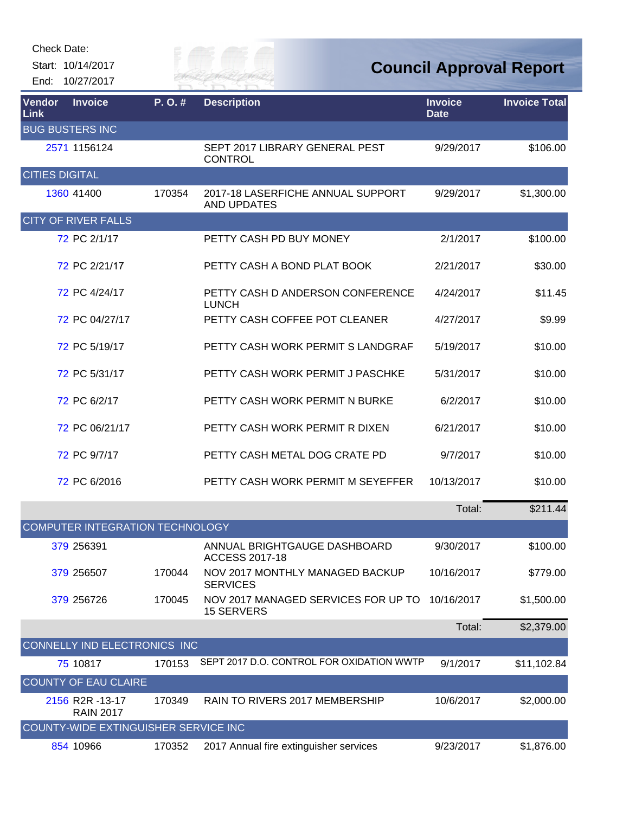Start: 10/14/2017 End: 10/27/2017



**Council Approval Report**

| <b>Invoice</b> | P.O.#                                                                                                                                                                                                                                                                               | <b>Description</b>                                      | <b>Invoice</b><br><b>Date</b> | <b>Invoice Total</b>             |
|----------------|-------------------------------------------------------------------------------------------------------------------------------------------------------------------------------------------------------------------------------------------------------------------------------------|---------------------------------------------------------|-------------------------------|----------------------------------|
|                |                                                                                                                                                                                                                                                                                     |                                                         |                               |                                  |
|                |                                                                                                                                                                                                                                                                                     | SEPT 2017 LIBRARY GENERAL PEST<br><b>CONTROL</b>        | 9/29/2017                     | \$106.00                         |
|                |                                                                                                                                                                                                                                                                                     |                                                         |                               |                                  |
|                | 170354                                                                                                                                                                                                                                                                              | 2017-18 LASERFICHE ANNUAL SUPPORT<br><b>AND UPDATES</b> | 9/29/2017                     | \$1,300.00                       |
|                |                                                                                                                                                                                                                                                                                     |                                                         |                               |                                  |
|                |                                                                                                                                                                                                                                                                                     | PETTY CASH PD BUY MONEY                                 | 2/1/2017                      | \$100.00                         |
|                |                                                                                                                                                                                                                                                                                     | PETTY CASH A BOND PLAT BOOK                             | 2/21/2017                     | \$30.00                          |
|                |                                                                                                                                                                                                                                                                                     | PETTY CASH D ANDERSON CONFERENCE<br><b>LUNCH</b>        | 4/24/2017                     | \$11.45                          |
|                |                                                                                                                                                                                                                                                                                     | PETTY CASH COFFEE POT CLEANER                           | 4/27/2017                     | \$9.99                           |
|                |                                                                                                                                                                                                                                                                                     | PETTY CASH WORK PERMIT S LANDGRAF                       | 5/19/2017                     | \$10.00                          |
|                |                                                                                                                                                                                                                                                                                     | PETTY CASH WORK PERMIT J PASCHKE                        | 5/31/2017                     | \$10.00                          |
|                |                                                                                                                                                                                                                                                                                     | PETTY CASH WORK PERMIT N BURKE                          | 6/2/2017                      | \$10.00                          |
|                |                                                                                                                                                                                                                                                                                     | PETTY CASH WORK PERMIT R DIXEN                          | 6/21/2017                     | \$10.00                          |
|                |                                                                                                                                                                                                                                                                                     | PETTY CASH METAL DOG CRATE PD                           | 9/7/2017                      | \$10.00                          |
|                |                                                                                                                                                                                                                                                                                     | PETTY CASH WORK PERMIT M SEYEFFER                       | 10/13/2017                    | \$10.00                          |
|                |                                                                                                                                                                                                                                                                                     |                                                         | Total:                        | \$211.44                         |
|                | <b>BUG BUSTERS INC</b><br>2571 1156124<br><b>CITIES DIGITAL</b><br>1360 41400<br><b>CITY OF RIVER FALLS</b><br>72 PC 2/1/17<br>72 PC 2/21/17<br>72 PC 4/24/17<br>72 PC 04/27/17<br>72 PC 5/19/17<br>72 PC 5/31/17<br>72 PC 6/2/17<br>72 PC 06/21/17<br>72 PC 9/7/17<br>72 PC 6/2016 |                                                         |                               | COMPLITED INTECRATION TECHNOLOGY |

| COMPUTER INTEGRATION TECHNOLOGY      |        |                                                          |            |             |
|--------------------------------------|--------|----------------------------------------------------------|------------|-------------|
| 379 256391                           |        | ANNUAL BRIGHTGAUGE DASHBOARD<br>ACCESS 2017-18           | 9/30/2017  | \$100.00    |
| 379 256507                           | 170044 | NOV 2017 MONTHLY MANAGED BACKUP<br><b>SERVICES</b>       | 10/16/2017 | \$779.00    |
| 379 256726                           | 170045 | NOV 2017 MANAGED SERVICES FOR UP TO<br><b>15 SERVERS</b> | 10/16/2017 | \$1,500.00  |
|                                      |        |                                                          | Total:     | \$2,379.00  |
| CONNELLY IND ELECTRONICS INC         |        |                                                          |            |             |
| 75 10817                             | 170153 | SEPT 2017 D.O. CONTROL FOR OXIDATION WWTP                | 9/1/2017   | \$11,102.84 |
| <b>COUNTY OF EAU CLAIRE</b>          |        |                                                          |            |             |
| 2156 R2R -13-17<br><b>RAIN 2017</b>  | 170349 | <b>RAIN TO RIVERS 2017 MEMBERSHIP</b>                    | 10/6/2017  | \$2,000.00  |
| COUNTY-WIDE EXTINGUISHER SERVICE INC |        |                                                          |            |             |
| 854 10966                            | 170352 | 2017 Annual fire extinguisher services                   | 9/23/2017  | \$1,876.00  |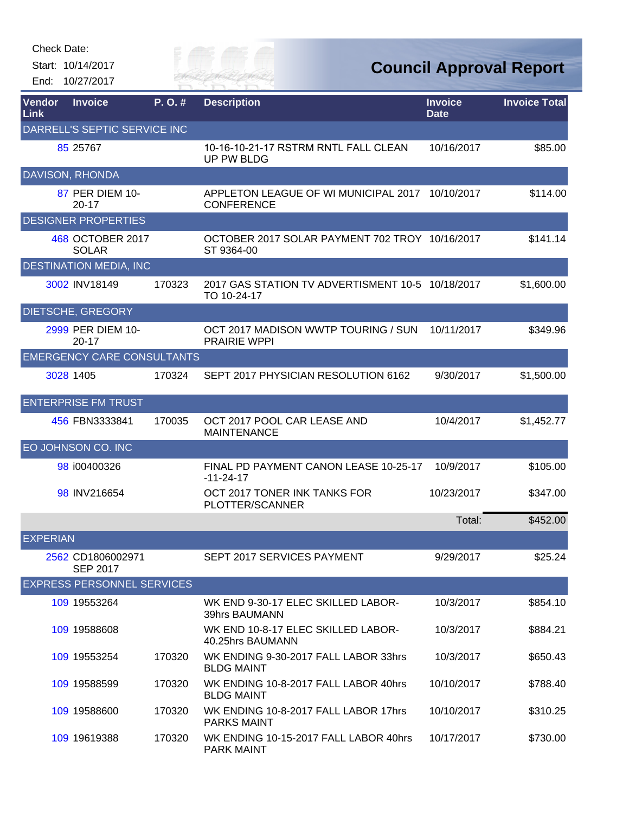Start: 10/14/2017 End: 10/27/2017



**Council Approval Report**

| Vendor<br>Link  | <b>Invoice</b>                       | P.O.#  | <b>Description</b>                                              | <b>Invoice</b><br><b>Date</b> | <b>Invoice Total</b> |
|-----------------|--------------------------------------|--------|-----------------------------------------------------------------|-------------------------------|----------------------|
|                 | DARRELL'S SEPTIC SERVICE INC         |        |                                                                 |                               |                      |
|                 | 85 25767                             |        | 10-16-10-21-17 RSTRM RNTL FALL CLEAN<br>UP PW BLDG              | 10/16/2017                    | \$85.00              |
|                 | <b>DAVISON, RHONDA</b>               |        |                                                                 |                               |                      |
|                 | 87 PER DIEM 10-<br>$20 - 17$         |        | APPLETON LEAGUE OF WI MUNICIPAL 2017<br><b>CONFERENCE</b>       | 10/10/2017                    | \$114.00             |
|                 | <b>DESIGNER PROPERTIES</b>           |        |                                                                 |                               |                      |
|                 | 468 OCTOBER 2017<br><b>SOLAR</b>     |        | OCTOBER 2017 SOLAR PAYMENT 702 TROY 10/16/2017<br>ST 9364-00    |                               | \$141.14             |
|                 | <b>DESTINATION MEDIA, INC</b>        |        |                                                                 |                               |                      |
|                 | 3002 INV18149                        | 170323 | 2017 GAS STATION TV ADVERTISMENT 10-5 10/18/2017<br>TO 10-24-17 |                               | \$1,600.00           |
|                 | DIETSCHE, GREGORY                    |        |                                                                 |                               |                      |
|                 | 2999 PER DIEM 10-<br>$20 - 17$       |        | OCT 2017 MADISON WWTP TOURING / SUN<br><b>PRAIRIE WPPI</b>      | 10/11/2017                    | \$349.96             |
|                 | <b>EMERGENCY CARE CONSULTANTS</b>    |        |                                                                 |                               |                      |
|                 | 3028 1405                            | 170324 | SEPT 2017 PHYSICIAN RESOLUTION 6162                             | 9/30/2017                     | \$1,500.00           |
|                 | <b>ENTERPRISE FM TRUST</b>           |        |                                                                 |                               |                      |
|                 | 456 FBN3333841                       | 170035 | OCT 2017 POOL CAR LEASE AND<br><b>MAINTENANCE</b>               | 10/4/2017                     | \$1,452.77           |
|                 | EO JOHNSON CO. INC                   |        |                                                                 |                               |                      |
|                 | 98 i00400326                         |        | FINAL PD PAYMENT CANON LEASE 10-25-17<br>$-11 - 24 - 17$        | 10/9/2017                     | \$105.00             |
|                 | 98 INV216654                         |        | OCT 2017 TONER INK TANKS FOR<br>PLOTTER/SCANNER                 | 10/23/2017                    | \$347.00             |
|                 |                                      |        |                                                                 | Total:                        | \$452.00             |
| <b>EXPERIAN</b> |                                      |        |                                                                 |                               |                      |
|                 | 2562 CD1806002971<br><b>SEP 2017</b> |        | SEPT 2017 SERVICES PAYMENT                                      | 9/29/2017                     | \$25.24              |
|                 | <b>EXPRESS PERSONNEL SERVICES</b>    |        |                                                                 |                               |                      |
|                 | 109 19553264                         |        | WK END 9-30-17 ELEC SKILLED LABOR-<br>39hrs BAUMANN             | 10/3/2017                     | \$854.10             |
|                 | 109 19588608                         |        | WK END 10-8-17 ELEC SKILLED LABOR-<br>40.25hrs BAUMANN          | 10/3/2017                     | \$884.21             |
|                 | 109 19553254                         | 170320 | WK ENDING 9-30-2017 FALL LABOR 33hrs<br><b>BLDG MAINT</b>       | 10/3/2017                     | \$650.43             |
|                 | 109 19588599                         | 170320 | WK ENDING 10-8-2017 FALL LABOR 40hrs<br><b>BLDG MAINT</b>       | 10/10/2017                    | \$788.40             |
|                 | 109 19588600                         | 170320 | WK ENDING 10-8-2017 FALL LABOR 17hrs<br><b>PARKS MAINT</b>      | 10/10/2017                    | \$310.25             |
|                 | 109 19619388                         | 170320 | WK ENDING 10-15-2017 FALL LABOR 40hrs<br><b>PARK MAINT</b>      | 10/17/2017                    | \$730.00             |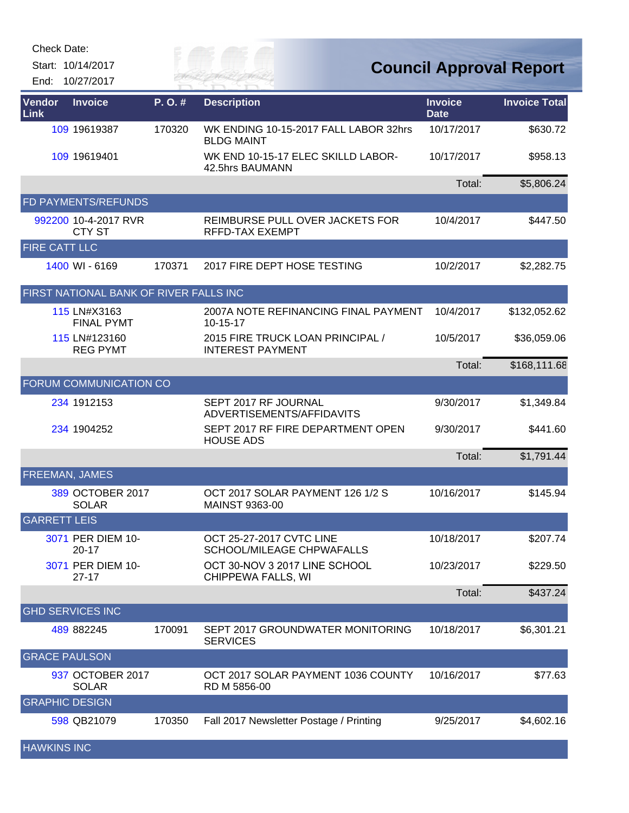| Check Date: |  |
|-------------|--|
|-------------|--|

Start: 10/14/2017 End: 10/27/2017



**Council Approval Report**

| <b>Vendor</b><br>Link | <b>Invoice</b>                         | P.O.#  | <b>Description</b>                                          | <b>Invoice</b><br><b>Date</b> | <b>Invoice Total</b> |
|-----------------------|----------------------------------------|--------|-------------------------------------------------------------|-------------------------------|----------------------|
|                       | 109 19619387                           | 170320 | WK ENDING 10-15-2017 FALL LABOR 32hrs<br><b>BLDG MAINT</b>  | 10/17/2017                    | \$630.72             |
|                       | 109 19619401                           |        | WK END 10-15-17 ELEC SKILLD LABOR-<br>42.5hrs BAUMANN       | 10/17/2017                    | \$958.13             |
|                       |                                        |        |                                                             | Total:                        | \$5,806.24           |
|                       | FD PAYMENTS/REFUNDS                    |        |                                                             |                               |                      |
|                       | 992200 10-4-2017 RVR<br><b>CTY ST</b>  |        | REIMBURSE PULL OVER JACKETS FOR<br>RFFD-TAX EXEMPT          | 10/4/2017                     | \$447.50             |
| <b>FIRE CATT LLC</b>  |                                        |        |                                                             |                               |                      |
|                       | 1400 WI - 6169                         | 170371 | 2017 FIRE DEPT HOSE TESTING                                 | 10/2/2017                     | \$2,282.75           |
|                       | FIRST NATIONAL BANK OF RIVER FALLS INC |        |                                                             |                               |                      |
|                       | 115 LN#X3163<br><b>FINAL PYMT</b>      |        | 2007A NOTE REFINANCING FINAL PAYMENT<br>10-15-17            | 10/4/2017                     | \$132,052.62         |
|                       | 115 LN#123160<br><b>REG PYMT</b>       |        | 2015 FIRE TRUCK LOAN PRINCIPAL /<br><b>INTEREST PAYMENT</b> | 10/5/2017                     | \$36,059.06          |
|                       |                                        |        |                                                             | Total:                        | \$168,111.68         |
|                       | FORUM COMMUNICATION CO                 |        |                                                             |                               |                      |
|                       | 234 1912153                            |        | SEPT 2017 RF JOURNAL<br>ADVERTISEMENTS/AFFIDAVITS           | 9/30/2017                     | \$1,349.84           |
|                       | 234 1904252                            |        | SEPT 2017 RF FIRE DEPARTMENT OPEN<br><b>HOUSE ADS</b>       | 9/30/2017                     | \$441.60             |
|                       |                                        |        |                                                             | Total:                        | \$1,791.44           |
| <b>FREEMAN, JAMES</b> |                                        |        |                                                             |                               |                      |
|                       | 389 OCTOBER 2017<br><b>SOLAR</b>       |        | OCT 2017 SOLAR PAYMENT 126 1/2 S<br><b>MAINST 9363-00</b>   | 10/16/2017                    | \$145.94             |
| <b>GARRETT LEIS</b>   |                                        |        |                                                             |                               |                      |
|                       | 3071 PER DIEM 10-<br>20-17             |        | OCT 25-27-2017 CVTC LINE<br>SCHOOL/MILEAGE CHPWAFALLS       | 10/18/2017                    | \$207.74             |
|                       | 3071 PER DIEM 10-<br>$27 - 17$         |        | OCT 30-NOV 3 2017 LINE SCHOOL<br>CHIPPEWA FALLS, WI         | 10/23/2017                    | \$229.50             |
|                       |                                        |        |                                                             | Total:                        | \$437.24             |
|                       | <b>GHD SERVICES INC</b>                |        |                                                             |                               |                      |
|                       | 489 882245                             | 170091 | SEPT 2017 GROUNDWATER MONITORING<br><b>SERVICES</b>         | 10/18/2017                    | \$6,301.21           |
| <b>GRACE PAULSON</b>  |                                        |        |                                                             |                               |                      |
|                       | 937 OCTOBER 2017<br><b>SOLAR</b>       |        | OCT 2017 SOLAR PAYMENT 1036 COUNTY<br>RD M 5856-00          | 10/16/2017                    | \$77.63              |
| <b>GRAPHIC DESIGN</b> |                                        |        |                                                             |                               |                      |
|                       | 598 QB21079                            | 170350 | Fall 2017 Newsletter Postage / Printing                     | 9/25/2017                     | \$4,602.16           |

HAWKINS INC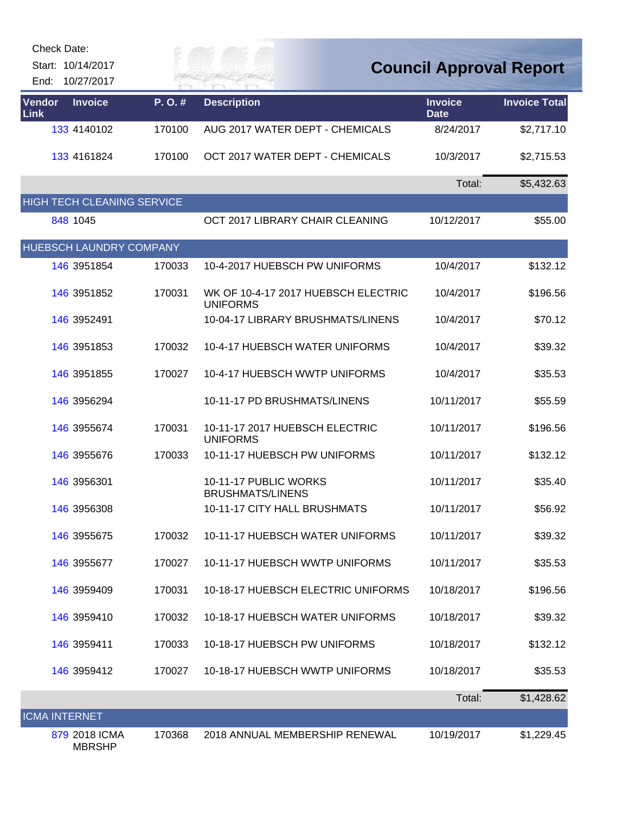**Council Approval Report**

| End:                 | Start: 10/14/2017<br>10/27/2017   |        | FR FAI                                                 | <b>Council Approval Report</b> |                      |
|----------------------|-----------------------------------|--------|--------------------------------------------------------|--------------------------------|----------------------|
| Vendor<br>Link       | <b>Invoice</b>                    | P.O.#  | <b>Description</b>                                     | <b>Invoice</b><br><b>Date</b>  | <b>Invoice Total</b> |
|                      | 133 4140102                       | 170100 | AUG 2017 WATER DEPT - CHEMICALS                        | 8/24/2017                      | \$2,717.10           |
|                      | 133 4161824                       | 170100 | OCT 2017 WATER DEPT - CHEMICALS                        | 10/3/2017                      | \$2,715.53           |
|                      |                                   |        |                                                        | Total:                         | \$5,432.63           |
|                      | <b>HIGH TECH CLEANING SERVICE</b> |        |                                                        |                                |                      |
|                      | 848 1045                          |        | OCT 2017 LIBRARY CHAIR CLEANING                        | 10/12/2017                     | \$55.00              |
|                      | HUEBSCH LAUNDRY COMPANY           |        |                                                        |                                |                      |
|                      | 146 3951854                       | 170033 | 10-4-2017 HUEBSCH PW UNIFORMS                          | 10/4/2017                      | \$132.12             |
|                      | 146 3951852                       | 170031 | WK OF 10-4-17 2017 HUEBSCH ELECTRIC<br><b>UNIFORMS</b> | 10/4/2017                      | \$196.56             |
|                      | 146 3952491                       |        | 10-04-17 LIBRARY BRUSHMATS/LINENS                      | 10/4/2017                      | \$70.12              |
|                      | 146 3951853                       | 170032 | 10-4-17 HUEBSCH WATER UNIFORMS                         | 10/4/2017                      | \$39.32              |
|                      | 146 3951855                       | 170027 | 10-4-17 HUEBSCH WWTP UNIFORMS                          | 10/4/2017                      | \$35.53              |
|                      | 146 3956294                       |        | 10-11-17 PD BRUSHMATS/LINENS                           | 10/11/2017                     | \$55.59              |
|                      | 146 3955674                       | 170031 | 10-11-17 2017 HUEBSCH ELECTRIC<br><b>UNIFORMS</b>      | 10/11/2017                     | \$196.56             |
|                      | 146 3955676                       | 170033 | 10-11-17 HUEBSCH PW UNIFORMS                           | 10/11/2017                     | \$132.12             |
|                      | 146 3956301                       |        | 10-11-17 PUBLIC WORKS<br><b>BRUSHMATS/LINENS</b>       | 10/11/2017                     | \$35.40              |
|                      | 146 3956308                       |        | 10-11-17 CITY HALL BRUSHMATS                           | 10/11/2017                     | \$56.92              |
|                      | 146 3955675                       | 170032 | 10-11-17 HUEBSCH WATER UNIFORMS                        | 10/11/2017                     | \$39.32              |
|                      | 146 3955677                       | 170027 | 10-11-17 HUEBSCH WWTP UNIFORMS                         | 10/11/2017                     | \$35.53              |
|                      | 146 3959409                       | 170031 | 10-18-17 HUEBSCH ELECTRIC UNIFORMS                     | 10/18/2017                     | \$196.56             |
|                      | 146 3959410                       | 170032 | 10-18-17 HUEBSCH WATER UNIFORMS                        | 10/18/2017                     | \$39.32              |
|                      | 146 3959411                       | 170033 | 10-18-17 HUEBSCH PW UNIFORMS                           | 10/18/2017                     | \$132.12             |
|                      | 146 3959412                       | 170027 | 10-18-17 HUEBSCH WWTP UNIFORMS                         | 10/18/2017                     | \$35.53              |
|                      |                                   |        |                                                        | Total:                         | \$1,428.62           |
| <b>ICMA INTERNET</b> |                                   |        |                                                        |                                |                      |
|                      | 879 2018 ICMA<br><b>MBRSHP</b>    | 170368 | 2018 ANNUAL MEMBERSHIP RENEWAL                         | 10/19/2017                     | \$1,229.45           |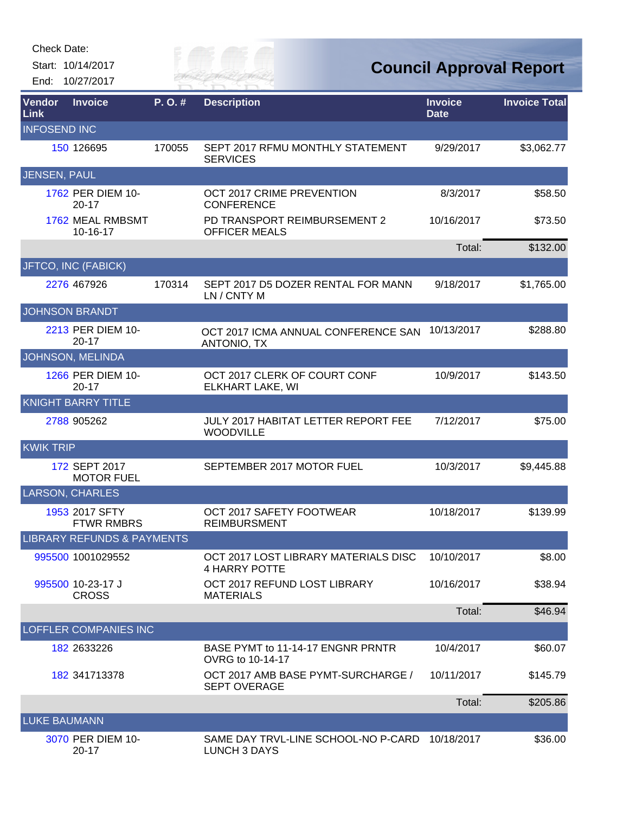End: 10/27/2017

*City of* 

| Vendor<br>Link      | <b>Invoice</b>                        | P.O.#  | <b>Description</b>                                             | <b>Invoice</b><br><b>Date</b> | <b>Invoice Total</b> |
|---------------------|---------------------------------------|--------|----------------------------------------------------------------|-------------------------------|----------------------|
| <b>INFOSEND INC</b> |                                       |        |                                                                |                               |                      |
|                     | 150 126695                            | 170055 | SEPT 2017 RFMU MONTHLY STATEMENT<br><b>SERVICES</b>            | 9/29/2017                     | \$3,062.77           |
| JENSEN, PAUL        |                                       |        |                                                                |                               |                      |
|                     | 1762 PER DIEM 10-<br>$20 - 17$        |        | OCT 2017 CRIME PREVENTION<br><b>CONFERENCE</b>                 | 8/3/2017                      | \$58.50              |
|                     | 1762 MEAL RMBSMT<br>10-16-17          |        | PD TRANSPORT REIMBURSEMENT 2<br><b>OFFICER MEALS</b>           | 10/16/2017                    | \$73.50              |
|                     |                                       |        |                                                                | Total:                        | \$132.00             |
|                     | JFTCO, INC (FABICK)                   |        |                                                                |                               |                      |
|                     | 2276 467926                           | 170314 | SEPT 2017 D5 DOZER RENTAL FOR MANN<br>LN / CNTY M              | 9/18/2017                     | \$1,765.00           |
|                     | <b>JOHNSON BRANDT</b>                 |        |                                                                |                               |                      |
|                     | 2213 PER DIEM 10-<br>$20 - 17$        |        | OCT 2017 ICMA ANNUAL CONFERENCE SAN<br><b>ANTONIO, TX</b>      | 10/13/2017                    | \$288.80             |
|                     | JOHNSON, MELINDA                      |        |                                                                |                               |                      |
|                     | 1266 PER DIEM 10-<br>$20 - 17$        |        | OCT 2017 CLERK OF COURT CONF<br>ELKHART LAKE, WI               | 10/9/2017                     | \$143.50             |
|                     | <b>KNIGHT BARRY TITLE</b>             |        |                                                                |                               |                      |
|                     | 2788 905262                           |        | JULY 2017 HABITAT LETTER REPORT FEE<br><b>WOODVILLE</b>        | 7/12/2017                     | \$75.00              |
| <b>KWIK TRIP</b>    |                                       |        |                                                                |                               |                      |
|                     | 172 SEPT 2017<br><b>MOTOR FUEL</b>    |        | SEPTEMBER 2017 MOTOR FUEL                                      | 10/3/2017                     | \$9,445.88           |
|                     | <b>LARSON, CHARLES</b>                |        |                                                                |                               |                      |
|                     | 1953 2017 SFTY<br><b>FTWR RMBRS</b>   |        | OCT 2017 SAFETY FOOTWEAR<br><b>REIMBURSMENT</b>                | 10/18/2017                    | \$139.99             |
|                     | <b>LIBRARY REFUNDS &amp; PAYMENTS</b> |        |                                                                |                               |                      |
|                     | 995500 1001029552                     |        | OCT 2017 LOST LIBRARY MATERIALS DISC<br>4 HARRY POTTE          | 10/10/2017                    | \$8.00               |
|                     | 995500 10-23-17 J<br><b>CROSS</b>     |        | OCT 2017 REFUND LOST LIBRARY<br><b>MATERIALS</b>               | 10/16/2017                    | \$38.94              |
|                     |                                       |        |                                                                | Total:                        | \$46.94              |
|                     | <b>LOFFLER COMPANIES INC</b>          |        |                                                                |                               |                      |
|                     | 182 2633226                           |        | BASE PYMT to 11-14-17 ENGNR PRNTR<br>OVRG to 10-14-17          | 10/4/2017                     | \$60.07              |
|                     | 182 341713378                         |        | OCT 2017 AMB BASE PYMT-SURCHARGE /<br><b>SEPT OVERAGE</b>      | 10/11/2017                    | \$145.79             |
|                     |                                       |        |                                                                | Total:                        | \$205.86             |
| <b>LUKE BAUMANN</b> |                                       |        |                                                                |                               |                      |
|                     | 3070 PER DIEM 10-<br>$20 - 17$        |        | SAME DAY TRVL-LINE SCHOOL-NO P-CARD 10/18/2017<br>LUNCH 3 DAYS |                               | \$36.00              |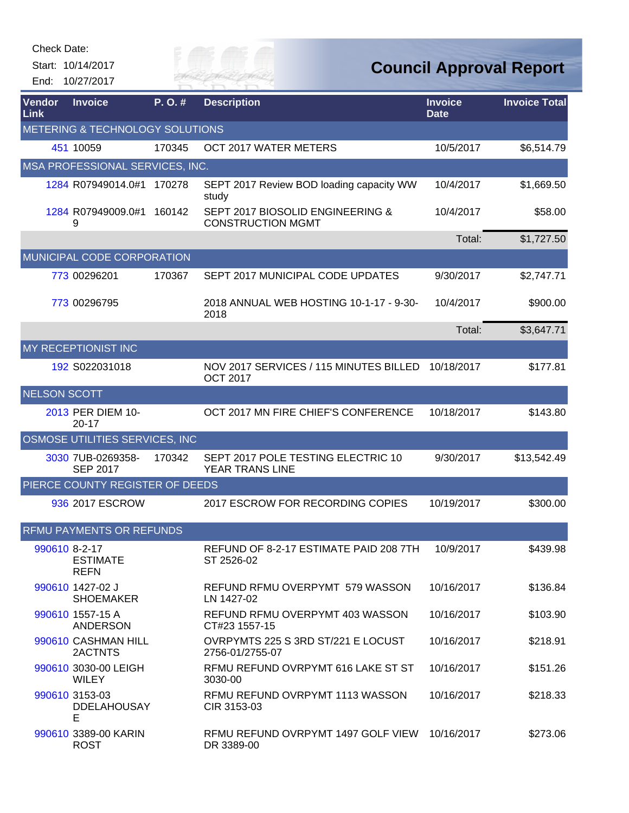| Check Date:                  |                                                 |        |                                                              |                               |                                |
|------------------------------|-------------------------------------------------|--------|--------------------------------------------------------------|-------------------------------|--------------------------------|
|                              | Start: 10/14/2017<br>End: 10/27/2017            |        | Till OF<br>VER FAI                                           |                               | <b>Council Approval Report</b> |
| <b>Vendor</b><br><b>Link</b> | <b>Invoice</b>                                  | P.O.#  | <b>Description</b>                                           | <b>Invoice</b><br><b>Date</b> | <b>Invoice Total</b>           |
|                              | METERING & TECHNOLOGY SOLUTIONS                 |        |                                                              |                               |                                |
|                              | 451 10059                                       | 170345 | OCT 2017 WATER METERS                                        | 10/5/2017                     | \$6,514.79                     |
|                              | MSA PROFESSIONAL SERVICES, INC.                 |        |                                                              |                               |                                |
|                              | 1284 R07949014.0#1                              | 170278 | SEPT 2017 Review BOD loading capacity WW<br>study            | 10/4/2017                     | \$1,669.50                     |
|                              | 1284 R07949009.0#1<br>9                         | 160142 | SEPT 2017 BIOSOLID ENGINEERING &<br><b>CONSTRUCTION MGMT</b> | 10/4/2017                     | \$58.00                        |
|                              |                                                 |        |                                                              | Total:                        | \$1,727.50                     |
|                              | MUNICIPAL CODE CORPORATION                      |        |                                                              |                               |                                |
|                              | 773 00296201                                    | 170367 | SEPT 2017 MUNICIPAL CODE UPDATES                             | 9/30/2017                     | \$2,747.71                     |
|                              | 773 00296795                                    |        | 2018 ANNUAL WEB HOSTING 10-1-17 - 9-30-<br>2018              | 10/4/2017                     | \$900.00                       |
|                              |                                                 |        |                                                              | Total:                        | \$3,647.71                     |
|                              | MY RECEPTIONIST INC                             |        |                                                              |                               |                                |
|                              | 192 S022031018                                  |        | NOV 2017 SERVICES / 115 MINUTES BILLED<br><b>OCT 2017</b>    | 10/18/2017                    | \$177.81                       |
| <b>NELSON SCOTT</b>          |                                                 |        |                                                              |                               |                                |
|                              | 2013 PER DIEM 10-<br>$20 - 17$                  |        | OCT 2017 MN FIRE CHIEF'S CONFERENCE                          | 10/18/2017                    | \$143.80                       |
|                              | OSMOSE UTILITIES SERVICES, INC                  |        |                                                              |                               |                                |
|                              | 3030 7UB-0269358-<br><b>SEP 2017</b>            | 170342 | SEPT 2017 POLE TESTING ELECTRIC 10<br>YEAR TRANS LINE        | 9/30/2017                     | \$13,542.49                    |
|                              | PIERCE COUNTY REGISTER OF DEEDS                 |        |                                                              |                               |                                |
|                              | 936 2017 ESCROW                                 |        | 2017 ESCROW FOR RECORDING COPIES                             | 10/19/2017                    | \$300.00                       |
|                              | <b>RFMU PAYMENTS OR REFUNDS</b>                 |        |                                                              |                               |                                |
|                              | 990610 8-2-17<br><b>ESTIMATE</b><br><b>REFN</b> |        | REFUND OF 8-2-17 ESTIMATE PAID 208 7TH<br>ST 2526-02         | 10/9/2017                     | \$439.98                       |
|                              | 990610 1427-02 J<br><b>SHOEMAKER</b>            |        | REFUND RFMU OVERPYMT 579 WASSON<br>LN 1427-02                | 10/16/2017                    | \$136.84                       |
|                              | 990610 1557-15 A<br><b>ANDERSON</b>             |        | REFUND RFMU OVERPYMT 403 WASSON<br>CT#23 1557-15             | 10/16/2017                    | \$103.90                       |
|                              | 990610 CASHMAN HILL<br>2ACTNTS                  |        | OVRPYMTS 225 S 3RD ST/221 E LOCUST<br>2756-01/2755-07        | 10/16/2017                    | \$218.91                       |
|                              | 990610 3030-00 LEIGH<br><b>WILEY</b>            |        | RFMU REFUND OVRPYMT 616 LAKE ST ST<br>3030-00                | 10/16/2017                    | \$151.26                       |
|                              | 990610 3153-03<br><b>DDELAHOUSAY</b><br>Е       |        | RFMU REFUND OVRPYMT 1113 WASSON<br>CIR 3153-03               | 10/16/2017                    | \$218.33                       |
|                              | 990610 3389-00 KARIN<br><b>ROST</b>             |        | RFMU REFUND OVRPYMT 1497 GOLF VIEW<br>DR 3389-00             | 10/16/2017                    | \$273.06                       |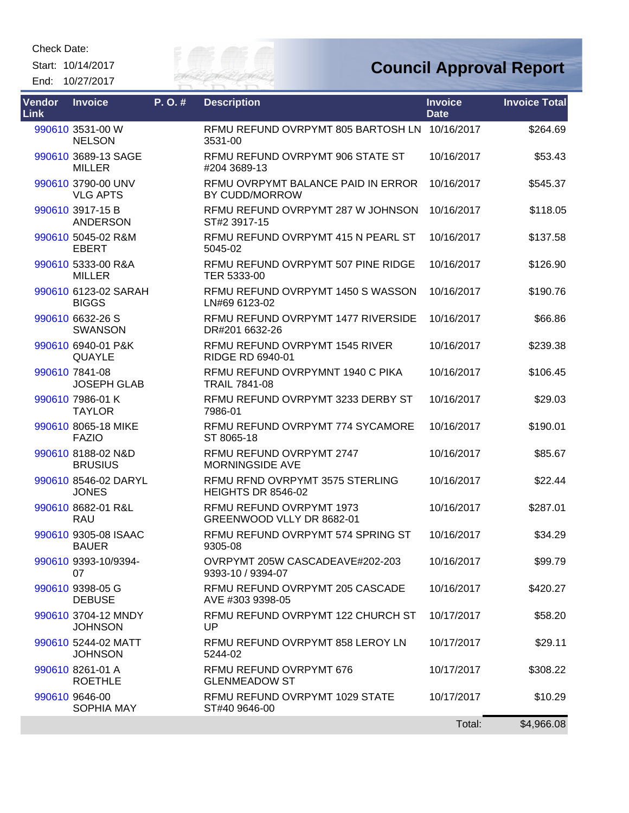Start: 10/14/2017 End: 10/27/2017



## **Council Approval Report**

| Vendor<br>Link | <b>Invoice</b>                        | P.O.# | <b>Description</b>                                        | <b>Invoice</b><br><b>Date</b> | <b>Invoice Total</b> |
|----------------|---------------------------------------|-------|-----------------------------------------------------------|-------------------------------|----------------------|
|                | 990610 3531-00 W<br><b>NELSON</b>     |       | RFMU REFUND OVRPYMT 805 BARTOSH LN 10/16/2017<br>3531-00  |                               | \$264.69             |
|                | 990610 3689-13 SAGE<br><b>MILLER</b>  |       | RFMU REFUND OVRPYMT 906 STATE ST<br>#204 3689-13          | 10/16/2017                    | \$53.43              |
|                | 990610 3790-00 UNV<br><b>VLG APTS</b> |       | RFMU OVRPYMT BALANCE PAID IN ERROR<br>BY CUDD/MORROW      | 10/16/2017                    | \$545.37             |
|                | 990610 3917-15 B<br>ANDERSON          |       | RFMU REFUND OVRPYMT 287 W JOHNSON<br>ST#2 3917-15         | 10/16/2017                    | \$118.05             |
|                | 990610 5045-02 R&M<br><b>EBERT</b>    |       | RFMU REFUND OVRPYMT 415 N PEARL ST<br>5045-02             | 10/16/2017                    | \$137.58             |
|                | 990610 5333-00 R&A<br><b>MILLER</b>   |       | RFMU REFUND OVRPYMT 507 PINE RIDGE<br>TER 5333-00         | 10/16/2017                    | \$126.90             |
|                | 990610 6123-02 SARAH<br><b>BIGGS</b>  |       | RFMU REFUND OVRPYMT 1450 S WASSON<br>LN#69 6123-02        | 10/16/2017                    | \$190.76             |
|                | 990610 6632-26 S<br><b>SWANSON</b>    |       | RFMU REFUND OVRPYMT 1477 RIVERSIDE<br>DR#201 6632-26      | 10/16/2017                    | \$66.86              |
|                | 990610 6940-01 P&K<br><b>QUAYLE</b>   |       | RFMU REFUND OVRPYMT 1545 RIVER<br><b>RIDGE RD 6940-01</b> | 10/16/2017                    | \$239.38             |
|                | 990610 7841-08<br><b>JOSEPH GLAB</b>  |       | RFMU REFUND OVRPYMNT 1940 C PIKA<br><b>TRAIL 7841-08</b>  | 10/16/2017                    | \$106.45             |
|                | 990610 7986-01 K<br><b>TAYLOR</b>     |       | RFMU REFUND OVRPYMT 3233 DERBY ST<br>7986-01              | 10/16/2017                    | \$29.03              |
|                | 990610 8065-18 MIKE<br><b>FAZIO</b>   |       | RFMU REFUND OVRPYMT 774 SYCAMORE<br>ST 8065-18            | 10/16/2017                    | \$190.01             |
|                | 990610 8188-02 N&D<br><b>BRUSIUS</b>  |       | RFMU REFUND OVRPYMT 2747<br>MORNINGSIDE AVE               | 10/16/2017                    | \$85.67              |
|                | 990610 8546-02 DARYL<br><b>JONES</b>  |       | RFMU RFND OVRPYMT 3575 STERLING<br>HEIGHTS DR 8546-02     | 10/16/2017                    | \$22.44              |
|                | 990610 8682-01 R&L<br><b>RAU</b>      |       | RFMU REFUND OVRPYMT 1973<br>GREENWOOD VLLY DR 8682-01     | 10/16/2017                    | \$287.01             |
|                | 990610 9305-08 ISAAC<br><b>BAUER</b>  |       | RFMU REFUND OVRPYMT 574 SPRING ST<br>9305-08              | 10/16/2017                    | \$34.29              |
|                | 990610 9393-10/9394-<br>07            |       | OVRPYMT 205W CASCADEAVE#202-203<br>9393-10 / 9394-07      | 10/16/2017                    | \$99.79              |
|                | 990610 9398-05 G<br><b>DEBUSE</b>     |       | RFMU REFUND OVRPYMT 205 CASCADE<br>AVE #303 9398-05       | 10/16/2017                    | \$420.27             |
|                | 990610 3704-12 MNDY<br><b>JOHNSON</b> |       | RFMU REFUND OVRPYMT 122 CHURCH ST<br>UP                   | 10/17/2017                    | \$58.20              |
|                | 990610 5244-02 MATT<br><b>JOHNSON</b> |       | RFMU REFUND OVRPYMT 858 LEROY LN<br>5244-02               | 10/17/2017                    | \$29.11              |
|                | 990610 8261-01 A<br><b>ROETHLE</b>    |       | RFMU REFUND OVRPYMT 676<br><b>GLENMEADOW ST</b>           | 10/17/2017                    | \$308.22             |
|                | 990610 9646-00<br>SOPHIA MAY          |       | RFMU REFUND OVRPYMT 1029 STATE<br>ST#40 9646-00           | 10/17/2017                    | \$10.29              |
|                |                                       |       |                                                           | Total:                        | \$4,966.08           |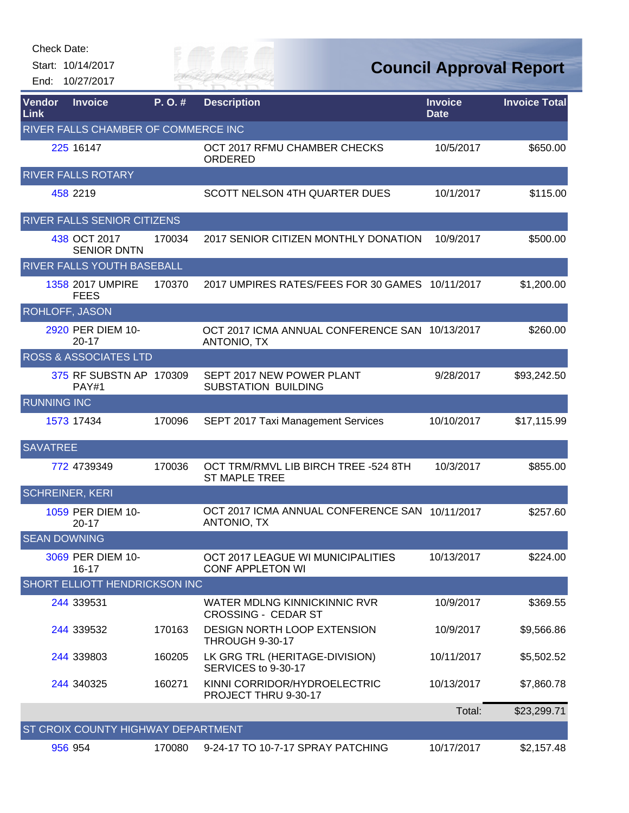| <b>Check Date:</b> |  |
|--------------------|--|
|--------------------|--|

End: 10/27/2017

RIVER FAI

**Council Approval Report**

| Vendor<br>Link         | <b>Invoice</b>                       | P.O.#  | <b>Description</b>                                            | <b>Invoice</b><br><b>Date</b> | <b>Invoice Total</b> |
|------------------------|--------------------------------------|--------|---------------------------------------------------------------|-------------------------------|----------------------|
|                        | RIVER FALLS CHAMBER OF COMMERCE INC  |        |                                                               |                               |                      |
|                        | 225 16147                            |        | OCT 2017 RFMU CHAMBER CHECKS<br><b>ORDERED</b>                | 10/5/2017                     | \$650.00             |
|                        | <b>RIVER FALLS ROTARY</b>            |        |                                                               |                               |                      |
|                        | 458 2219                             |        | SCOTT NELSON 4TH QUARTER DUES                                 | 10/1/2017                     | \$115.00             |
|                        | <b>RIVER FALLS SENIOR CITIZENS</b>   |        |                                                               |                               |                      |
|                        | 438 OCT 2017<br><b>SENIOR DNTN</b>   | 170034 | 2017 SENIOR CITIZEN MONTHLY DONATION                          | 10/9/2017                     | \$500.00             |
|                        | RIVER FALLS YOUTH BASEBALL           |        |                                                               |                               |                      |
|                        | 1358 2017 UMPIRE<br><b>FEES</b>      | 170370 | 2017 UMPIRES RATES/FEES FOR 30 GAMES 10/11/2017               |                               | \$1,200.00           |
| <b>ROHLOFF, JASON</b>  |                                      |        |                                                               |                               |                      |
|                        | 2920 PER DIEM 10-<br>$20 - 17$       |        | OCT 2017 ICMA ANNUAL CONFERENCE SAN 10/13/2017<br>ANTONIO, TX |                               | \$260.00             |
|                        | <b>ROSS &amp; ASSOCIATES LTD</b>     |        |                                                               |                               |                      |
|                        | 375 RF SUBSTN AP 170309<br>PAY#1     |        | SEPT 2017 NEW POWER PLANT<br><b>SUBSTATION BUILDING</b>       | 9/28/2017                     | \$93,242.50          |
| <b>RUNNING INC</b>     |                                      |        |                                                               |                               |                      |
|                        | 1573 17434                           | 170096 | SEPT 2017 Taxi Management Services                            | 10/10/2017                    | \$17,115.99          |
| <b>SAVATREE</b>        |                                      |        |                                                               |                               |                      |
|                        | 772 4739349                          | 170036 | OCT TRM/RMVL LIB BIRCH TREE -524 8TH<br><b>ST MAPLE TREE</b>  | 10/3/2017                     | \$855.00             |
| <b>SCHREINER, KERI</b> |                                      |        |                                                               |                               |                      |
|                        | 1059 PER DIEM 10-<br>$20 - 17$       |        | OCT 2017 ICMA ANNUAL CONFERENCE SAN 10/11/2017<br>ANTONIO, TX |                               | \$257.60             |
| <b>SEAN DOWNING</b>    |                                      |        |                                                               |                               |                      |
|                        | 3069 PER DIEM 10-<br>$16 - 17$       |        | OCT 2017 LEAGUE WI MUNICIPALITIES<br><b>CONF APPLETON WI</b>  | 10/13/2017                    | \$224.00             |
|                        | <b>SHORT ELLIOTT HENDRICKSON INC</b> |        |                                                               |                               |                      |
|                        | 244 339531                           |        | WATER MDLNG KINNICKINNIC RVR<br><b>CROSSING - CEDAR ST</b>    | 10/9/2017                     | \$369.55             |
|                        | 244 339532                           | 170163 | DESIGN NORTH LOOP EXTENSION<br><b>THROUGH 9-30-17</b>         | 10/9/2017                     | \$9,566.86           |
|                        | 244 339803                           | 160205 | LK GRG TRL (HERITAGE-DIVISION)<br>SERVICES to 9-30-17         | 10/11/2017                    | \$5,502.52           |
|                        | 244 340325                           | 160271 | KINNI CORRIDOR/HYDROELECTRIC<br>PROJECT THRU 9-30-17          | 10/13/2017                    | \$7,860.78           |
|                        |                                      |        |                                                               | Total:                        | \$23,299.71          |
|                        | ST CROIX COUNTY HIGHWAY DEPARTMENT   |        |                                                               |                               |                      |
|                        | 956 954                              | 170080 | 9-24-17 TO 10-7-17 SPRAY PATCHING                             | 10/17/2017                    | \$2,157.48           |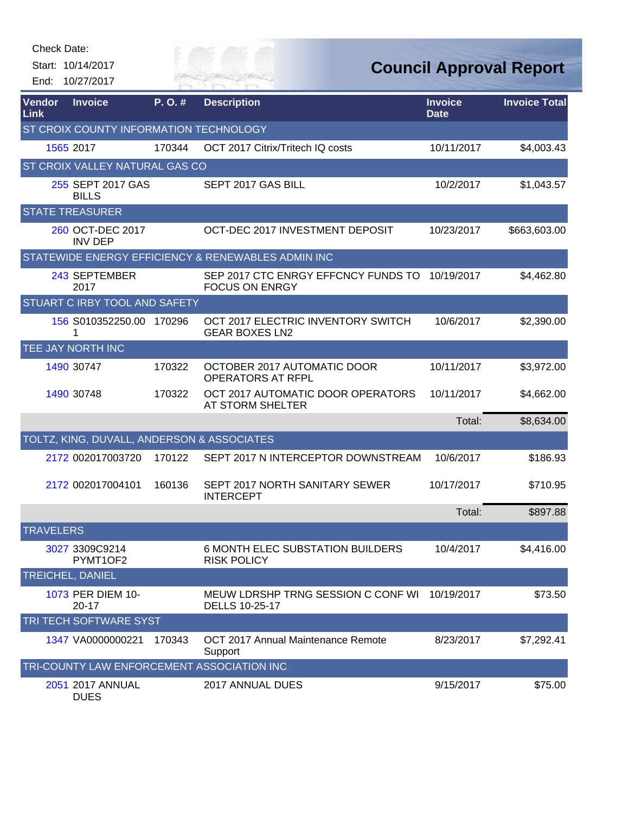|                       | Check Date:<br>Start: 10/14/2017<br>End: 10/27/2017 |        | e eve p<br>ER FAI                                             |                               | <b>Council Approval Report</b> |
|-----------------------|-----------------------------------------------------|--------|---------------------------------------------------------------|-------------------------------|--------------------------------|
| <b>Vendor</b><br>Link | <b>Invoice</b>                                      | P.O.#  | <b>Description</b>                                            | <b>Invoice</b><br><b>Date</b> | <b>Invoice Total</b>           |
|                       | ST CROIX COUNTY INFORMATION TECHNOLOGY              |        |                                                               |                               |                                |
|                       | 1565 2017                                           | 170344 | OCT 2017 Citrix/Tritech IQ costs                              | 10/11/2017                    | \$4,003.43                     |
|                       | <b>ST CROIX VALLEY NATURAL GAS CO</b>               |        |                                                               |                               |                                |
|                       | 255 SEPT 2017 GAS<br><b>BILLS</b>                   |        | SEPT 2017 GAS BILL                                            | 10/2/2017                     | \$1,043.57                     |
|                       | <b>STATE TREASURER</b>                              |        |                                                               |                               |                                |
|                       | 260 OCT-DEC 2017<br><b>INV DEP</b>                  |        | OCT-DEC 2017 INVESTMENT DEPOSIT                               | 10/23/2017                    | \$663,603.00                   |
|                       |                                                     |        | STATEWIDE ENERGY EFFICIENCY & RENEWABLES ADMIN INC            |                               |                                |
|                       | 243 SEPTEMBER<br>2017                               |        | SEP 2017 CTC ENRGY EFFCNCY FUNDS TO<br><b>FOCUS ON ENRGY</b>  | 10/19/2017                    | \$4,462.80                     |
|                       | <b>STUART C IRBY TOOL AND SAFETY</b>                |        |                                                               |                               |                                |
|                       | 156 S010352250.00 170296<br>1                       |        | OCT 2017 ELECTRIC INVENTORY SWITCH<br><b>GEAR BOXES LN2</b>   | 10/6/2017                     | \$2,390.00                     |
|                       | TEE JAY NORTH INC                                   |        |                                                               |                               |                                |
|                       | 1490 30747                                          | 170322 | OCTOBER 2017 AUTOMATIC DOOR<br><b>OPERATORS AT RFPL</b>       | 10/11/2017                    | \$3,972.00                     |
|                       | 1490 30748                                          | 170322 | OCT 2017 AUTOMATIC DOOR OPERATORS<br>AT STORM SHELTER         | 10/11/2017                    | \$4,662.00                     |
|                       |                                                     |        |                                                               | Total:                        | \$8,634.00                     |
|                       | TOLTZ, KING, DUVALL, ANDERSON & ASSOCIATES          |        |                                                               |                               |                                |
|                       | 2172 002017003720                                   | 170122 | SEPT 2017 N INTERCEPTOR DOWNSTREAM                            | 10/6/2017                     | \$186.93                       |
|                       | 2172 002017004101                                   | 160136 | SEPT 2017 NORTH SANITARY SEWER<br><b>INTERCEPT</b>            | 10/17/2017                    | \$710.95                       |
|                       |                                                     |        |                                                               | Total:                        | \$897.88                       |
| <b>TRAVELERS</b>      |                                                     |        |                                                               |                               |                                |
|                       | 3027 3309C9214<br>PYMT1OF2                          |        | <b>6 MONTH ELEC SUBSTATION BUILDERS</b><br><b>RISK POLICY</b> | 10/4/2017                     | \$4,416.00                     |
|                       | <b>TREICHEL, DANIEL</b>                             |        |                                                               |                               |                                |
|                       | 1073 PER DIEM 10-<br>$20 - 17$                      |        | MEUW LDRSHP TRNG SESSION C CONF WI<br>DELLS 10-25-17          | 10/19/2017                    | \$73.50                        |
|                       | TRI TECH SOFTWARE SYST                              |        |                                                               |                               |                                |
|                       | 1347 VA0000000221                                   | 170343 | OCT 2017 Annual Maintenance Remote<br>Support                 | 8/23/2017                     | \$7,292.41                     |
|                       |                                                     |        | TRI-COUNTY LAW ENFORCEMENT ASSOCIATION INC                    |                               |                                |
|                       | 2051 2017 ANNUAL<br><b>DUES</b>                     |        | 2017 ANNUAL DUES                                              | 9/15/2017                     | \$75.00                        |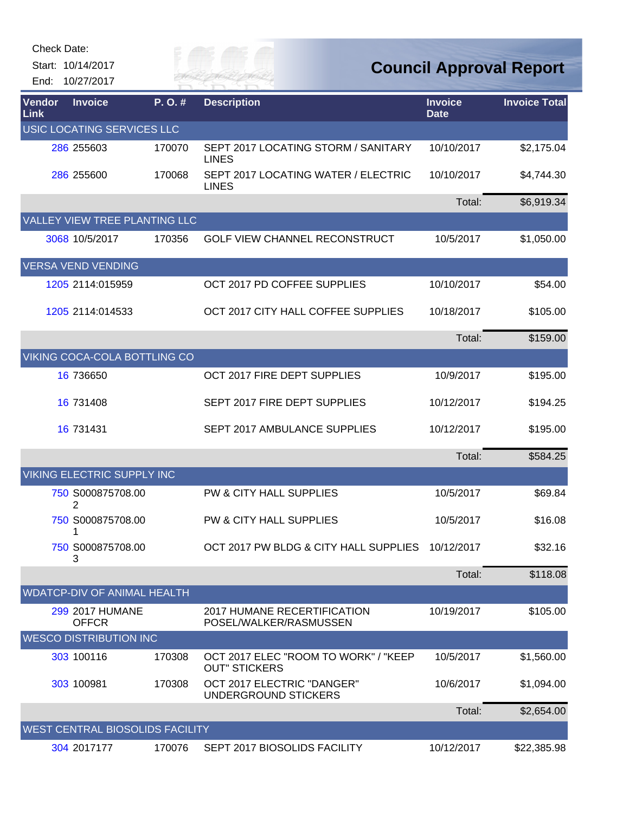| Check Date: |  |
|-------------|--|
|-------------|--|

## **Council Approval Report**

| End:           | Start: 10/14/2017<br>10/27/2017        |        | ER HAI                                                       |                               | <b>Council Approval Report</b> |
|----------------|----------------------------------------|--------|--------------------------------------------------------------|-------------------------------|--------------------------------|
| Vendor<br>Link | <b>Invoice</b>                         | P.O.#  | <b>Description</b>                                           | <b>Invoice</b><br><b>Date</b> | <b>Invoice Total</b>           |
|                | USIC LOCATING SERVICES LLC             |        |                                                              |                               |                                |
|                | 286 255603                             | 170070 | SEPT 2017 LOCATING STORM / SANITARY<br><b>LINES</b>          | 10/10/2017                    | \$2,175.04                     |
|                | 286 255600                             | 170068 | SEPT 2017 LOCATING WATER / ELECTRIC<br><b>LINES</b>          | 10/10/2017                    | \$4,744.30                     |
|                |                                        |        |                                                              | Total:                        | \$6,919.34                     |
|                | VALLEY VIEW TREE PLANTING LLC          |        |                                                              |                               |                                |
|                | 3068 10/5/2017                         | 170356 | <b>GOLF VIEW CHANNEL RECONSTRUCT</b>                         | 10/5/2017                     | \$1,050.00                     |
|                | <b>VERSA VEND VENDING</b>              |        |                                                              |                               |                                |
|                | 1205 2114:015959                       |        | OCT 2017 PD COFFEE SUPPLIES                                  | 10/10/2017                    | \$54.00                        |
|                | 1205 2114:014533                       |        | OCT 2017 CITY HALL COFFEE SUPPLIES                           | 10/18/2017                    | \$105.00                       |
|                |                                        |        |                                                              | Total:                        | \$159.00                       |
|                | VIKING COCA-COLA BOTTLING CO           |        |                                                              |                               |                                |
|                | 16 736650                              |        | OCT 2017 FIRE DEPT SUPPLIES                                  | 10/9/2017                     | \$195.00                       |
|                | 16 731408                              |        | SEPT 2017 FIRE DEPT SUPPLIES                                 | 10/12/2017                    | \$194.25                       |
|                | 16 731431                              |        | SEPT 2017 AMBULANCE SUPPLIES                                 | 10/12/2017                    | \$195.00                       |
|                |                                        |        |                                                              | Total:                        | \$584.25                       |
|                | <b>VIKING ELECTRIC SUPPLY INC</b>      |        |                                                              |                               |                                |
|                | 750 S000875708.00<br>2                 |        | PW & CITY HALL SUPPLIES                                      | 10/5/2017                     | \$69.84                        |
|                | 750 S000875708.00<br>1                 |        | PW & CITY HALL SUPPLIES                                      | 10/5/2017                     | \$16.08                        |
|                | 750 S000875708.00<br>3                 |        | OCT 2017 PW BLDG & CITY HALL SUPPLIES                        | 10/12/2017                    | \$32.16                        |
|                |                                        |        |                                                              | Total:                        | \$118.08                       |
|                | <b>WDATCP-DIV OF ANIMAL HEALTH</b>     |        |                                                              |                               |                                |
|                | 299 2017 HUMANE<br><b>OFFCR</b>        |        | 2017 HUMANE RECERTIFICATION<br>POSEL/WALKER/RASMUSSEN        | 10/19/2017                    | \$105.00                       |
|                | <b>WESCO DISTRIBUTION INC</b>          |        |                                                              |                               |                                |
|                | 303 100116                             | 170308 | OCT 2017 ELEC "ROOM TO WORK" / "KEEP<br><b>OUT" STICKERS</b> | 10/5/2017                     | \$1,560.00                     |
|                | 303 100981                             | 170308 | OCT 2017 ELECTRIC "DANGER"<br>UNDERGROUND STICKERS           | 10/6/2017                     | \$1,094.00                     |
|                |                                        |        |                                                              | Total:                        | \$2,654.00                     |
|                | <b>WEST CENTRAL BIOSOLIDS FACILITY</b> |        |                                                              |                               |                                |
|                | 304 2017177                            | 170076 | SEPT 2017 BIOSOLIDS FACILITY                                 | 10/12/2017                    | \$22,385.98                    |